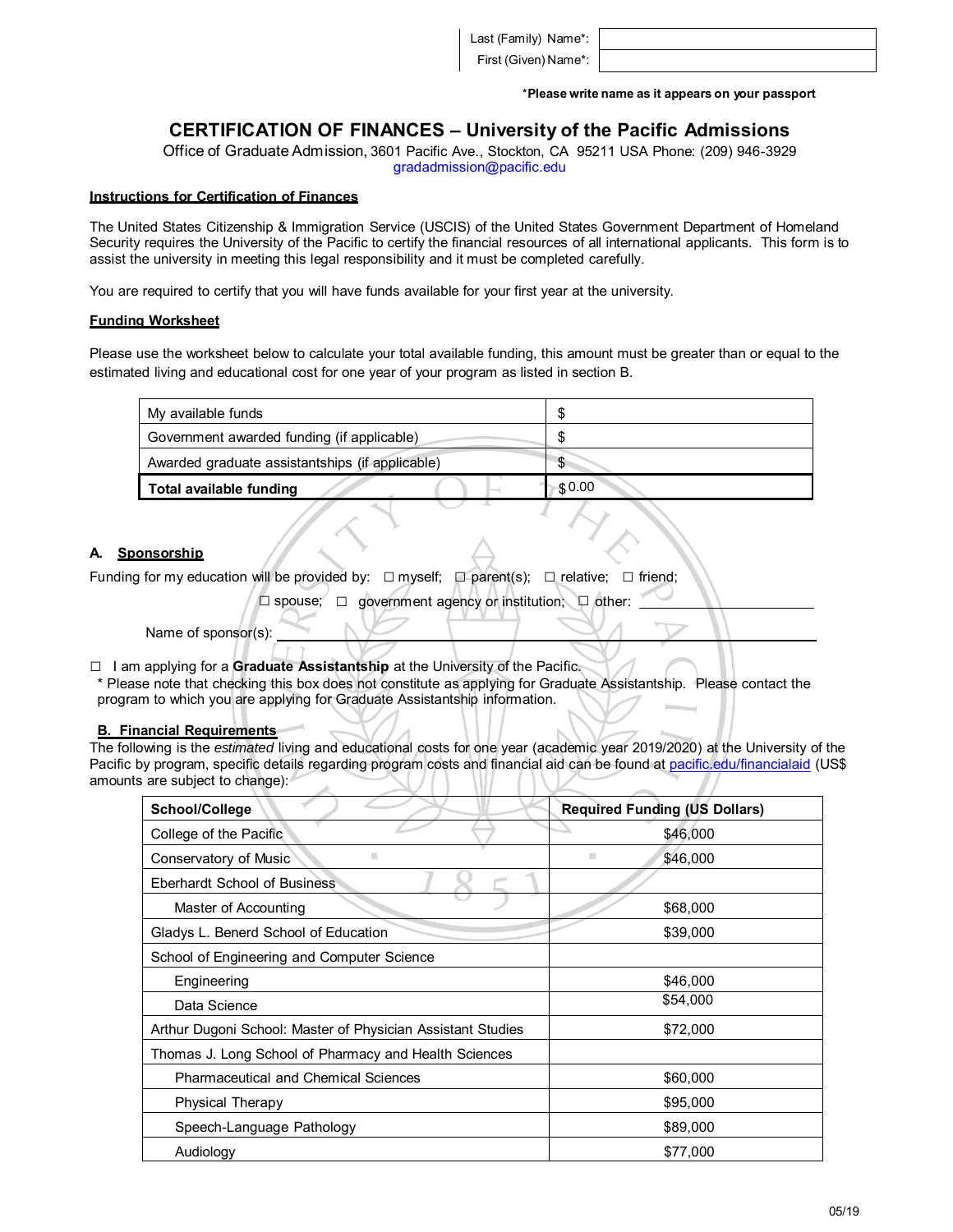Last (Family) Name\*:

First (Given) Name\*:

\***Please write name as it appears on your passport**

# **CERTIFICATION OF FINANCES – University of the Pacific Admissions**

Office of Graduate Admission, 3601 Pacific Ave., Stockton, CA 95211 USA Phone: (209) 946-3929 gradadmission@pacific.edu

#### **Instructions for Certification of Finances**

The United States Citizenship & Immigration Service (USCIS) of the United States Government Department of Homeland Security requires the University of the Pacific to certify the financial resources of all international applicants. This form is to assist the university in meeting this legal responsibility and it must be completed carefully.

You are required to certify that you will have funds available for your first year at the university.

#### **Funding Worksheet**

Please use the worksheet below to calculate your total available funding, this amount must be greater than or equal to the estimated living and educational cost for one year of your program as listed in section B.

| My available funds                              |                |
|-------------------------------------------------|----------------|
| Government awarded funding (if applicable)      |                |
| Awarded graduate assistantships (if applicable) | \$.            |
| Total available funding                         | $\sqrt{30.00}$ |
|                                                 |                |

### **A. Sponsorship**

Funding for my education will be provided by:  $\square$  myself;  $\square$  parent(s);  $\square$  relative;  $\square$  friend;

□ spouse; □ government agency or institution; □ other:

Name of sponsor(s):

□ <sup>I</sup> am applying for <sup>a</sup> **Graduate Assistantship** at the University of the Pacific.

\* Please note that checking this box does not constitute as applying for Graduate Assistantship. Please contact the program to which you are applying for Graduate Assistantship information.

#### **B. Financial Requirements**

The following is the *estimated* living and educational costs for one year (academic year 2019/2020) at the University of the Pacific by program, specific details regarding program costs and financial aid can be found at pacific edu/financialaid (US\$ amounts are subject to change):

| School/College                                              | <b>Required Funding (US Dollars)</b> |
|-------------------------------------------------------------|--------------------------------------|
| College of the Pacific                                      | \$46,000                             |
| ш<br>Conservatory of Music                                  | ٠<br>\$46,000                        |
| Eberhardt School of Business                                |                                      |
| Master of Accounting                                        | \$68,000                             |
| Gladys L. Benerd School of Education                        | \$39,000                             |
| School of Engineering and Computer Science                  |                                      |
| Engineering                                                 | \$46,000                             |
| Data Science                                                | \$54,000                             |
| Arthur Dugoni School: Master of Physician Assistant Studies | \$72,000                             |
| Thomas J. Long School of Pharmacy and Health Sciences       |                                      |
| <b>Pharmaceutical and Chemical Sciences</b>                 | \$60,000                             |
| <b>Physical Therapy</b>                                     | \$95,000                             |
| Speech-Language Pathology                                   | \$89,000                             |
| Audiology                                                   | \$77,000                             |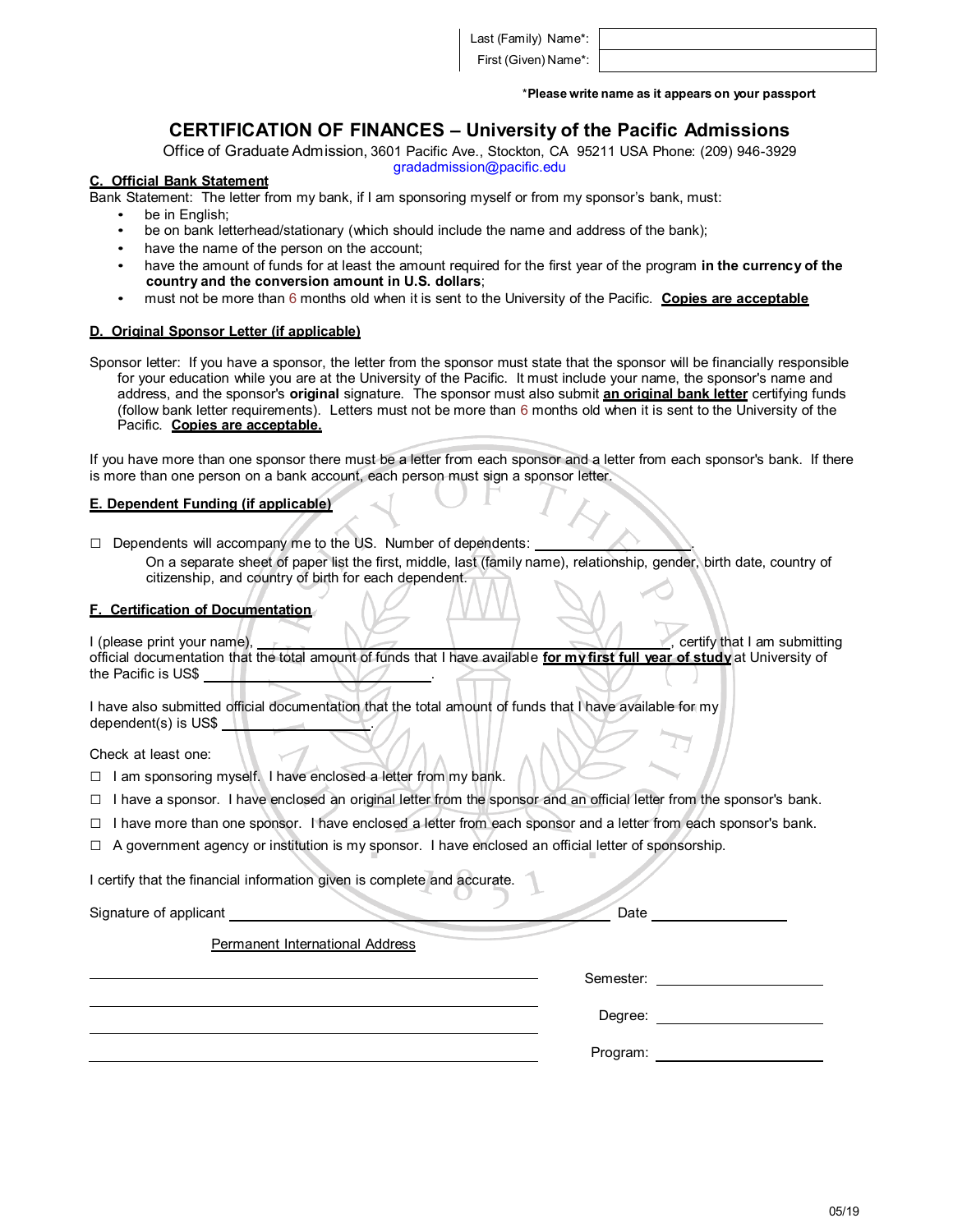Last (Family) Name\*:

First (Given) Name\*:

\***Please write name as it appears on your passport**

# **CERTIFICATION OF FINANCES – University of the Pacific Admissions**

Office of Graduate Admission, 3601 Pacific Ave., Stockton, CA 95211 USA Phone: (209) 946-3929

gradadmission@pacific.edu

# **C. Official Bank Statement**

- Bank Statement: The letter from my bank, if I am sponsoring myself or from my sponsor's bank, must:
	- be in English;
	- be on bank letterhead/stationary (which should include the name and address of the bank);
	- have the name of the person on the account;
	- have the amount of funds for at least the amount required for the first year of the program **in the currency of the country and the conversion amount in U.S. dollars**;
	- must not be more than 6 months old when it is sent to the University of the Pacific. **Copies are acceptable**

### **D. Original Sponsor Letter (if applicable)**

Sponsor letter: If you have a sponsor, the letter from the sponsor must state that the sponsor will be financially responsible for your education while you are at the University of the Pacific. It must include your name, the sponsor's name and address, and the sponsor's **original** signature. The sponsor must also submit **an original bank letter** certifying funds (follow bank letter requirements). Letters must not be more than 6 months old when it is sent to the University of the Pacific. **Copies are acceptable.**

If you have more than one sponsor there must be a letter from each sponsor and a letter from each sponsor's bank. If there is more than one person on a bank account, each person must sign a sponsor letter.

### **E. Dependent Funding (if applicable)**

- □ Dependents will accompany me to the US. Number of dependents:
	- On a separate sheet of paper list the first, middle, last (family name), relationship, gender, birth date, country of citizenship, and country of birth for each dependent.

### **F. Certification of Documentation**

| l (please print vour name).                                                                                                  |  | certify that I am submitting |
|------------------------------------------------------------------------------------------------------------------------------|--|------------------------------|
| official documentation that the total amount of funds that I have available for my first full vear of study at University of |  |                              |
| the Pacific is US\$                                                                                                          |  |                              |

I have also submitted official documentation that the total amount of funds that I have available for my dependent(s) is US\$ .

Check at least one:

- □ I am sponsoring myself. I have enclosed a letter from my bank.
- $\Box$  I have a sponsor. I have enclosed an original letter from the sponsor and an official letter from the sponsor's bank.
- $\Box$  I have more than one sponsor. I have enclosed a letter from each sponsor and a letter from each sponsor's bank.
- □ A government agency or institution is my sponsor. I have enclosed an official letter of sponsorship.

I certify that the financial information given is complete and accurate.

Signature of applicant Date

Permanent International Address

| Semester: |  |
|-----------|--|
|           |  |

Degree:

Program: